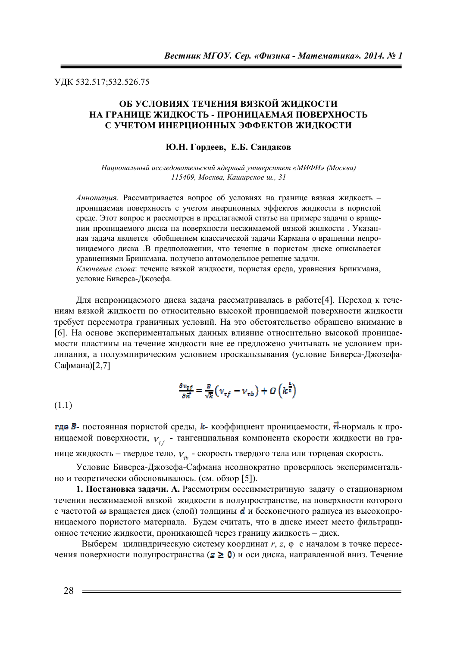ɍȾɄ 532.517;532.526.75

## **ОБ УСЛОВИЯХ ТЕЧЕНИЯ ВЯЗКОЙ ЖИДКОСТИ** НА ГРАНИЦЕ ЖИДКОСТЬ - ПРОНИЦАЕМАЯ ПОВЕРХНОСТЬ С УЧЕТОМ ИНЕРЦИОННЫХ ЭФФЕКТОВ ЖИДКОСТИ

### **Ю.Н. Гордеев, Е.Б. Сандаков**

*ɇɚɰɢɨɧɚɥɶɧɵɣ ɢɫɫɥɟɞɨɜɚɬɟɥɶɫɤɢɣ ɹɞɟɪɧɵɣ ɭɧɢɜɟɪɫɢɬɟɬ «ɆɂɎɂ» (Ɇɨɫɤɜɚ)*   $115409$ , Москва, Каширское ш., 31

*Аннотация*. Рассматривается вопрос об условиях на границе вязкая жидкость – проницаемая поверхность с учетом инерционных эффектов жидкости в пористой среде. Этот вопрос и рассмотрен в предлагаемой статье на примере задачи о вращении проницаемого диска на поверхности несжимаемой вязкой жидкости. Указанная задача является обобщением классической задачи Кармана о вращении непроницаемого диска .В предположении, что течение в пористом диске описывается уравнениями Бринкмана, получено автомодельное решение задачи. Ключевые слова: течение вязкой жидкости, пористая среда, уравнения Бринкмана, условие Биверса-Джозефа.

Для непроницаемого диска задача рассматривалась в работе[4]. Переход к течениям вязкой жидкости по относительно высокой проницаемой поверхности жидкости требует пересмотра граничных условий. На это обстоятельство обращено внимание в [6]. На основе экспериментальных данных влияние относительно высокой проницаемости пластины на течение жидкости вне ее предложено учитывать не условием прилипания, а полуэмпирическим условием проскальзывания (условие Биверса-Джозефа-Сафмана)[2,7]

$$
\frac{\partial v_{\tau f}}{\partial \vec{n}} = \frac{B}{\sqrt{k}} \left( v_{\tau f} - v_{\tau b} \right) + O \left( k^{\frac{2}{2}} \right)
$$

(1.1)

где *В*- постоянная пористой среды, *k*- коэффициент проницаемости,  $\vec{n}$ -нормаль к проницаемой поверхности,  $v_{\tau f}$  - тангенциальная компонента скорости жидкости на границе жидкость – твердое тело,  $V_{tb}$  - скорость твердого тела или торцевая скорость.

Условие Биверса-Джозефа-Сафмана неоднократно проверялось экспериментально и теоретически обосновывалось. (см. обзор [5]).

1. Постановка задачи. А. Рассмотрим осесимметричную задачу о стационарном течении несжимаемой вязкой жидкости в полупространстве, на поверхности которого с частотой  $\omega$  вращается диск (слой) толщины  $d$  и бесконечного радиуса из высокопроницаемого пористого материала. Будем считать, что в диске имеет место фильтрационное течение жидкости, проникающей через границу жидкость – диск.

Выберем цилиндрическую систему координат *r*, *z*,  $\varphi$  с началом в точке пересечения поверхности полупространства ( $\geq 0$ ) и оси диска, направленной вниз. Течение

28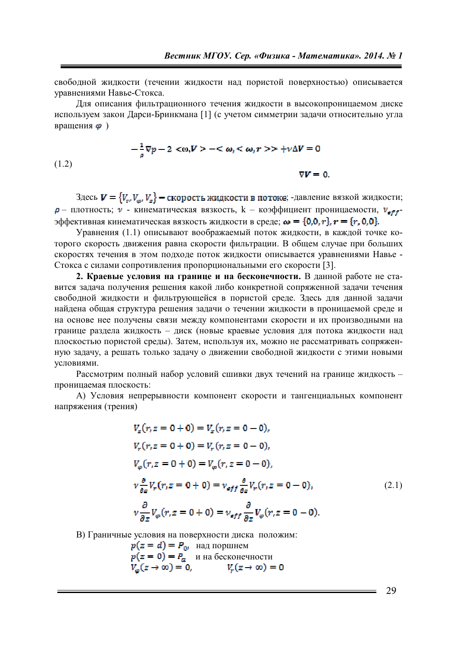свободной жидкости (течении жидкости над пористой поверхностью) описывается уравнениями Навье-Стокса.

Для описания фильтрационного течения жидкости в высокопроницаемом диске используем закон Ларси-Бринкмана [1] (с учетом симметрии залачи относительно угла вращения  $\boldsymbol{\varphi}$ )

$$
-\frac{1}{\rho}\nabla p - 2 < \omega, V > -\leq \omega, \leq \omega, r > \pm \nu \Delta V = 0
$$
\n(1.2)

\n
$$
\nabla V = 0.
$$

(1.2)

Здесь  $V = \{V_{rR}V_{\alpha}, V_{\alpha}\}$  – скорость жидкости в потоке; -давление вязкой жидкости;  $\rho$  – плотность;  $\nu$  - кинематическая вязкость,  $k$  – коэффициент проницаемости,  $\nu_{\rm eff}$ эффективная кинематическая вязкость жидкости в среде;  $\boldsymbol{\omega} = \{0,0,r\}_r = \{r,0,0\}.$ 

Уравнения (1.1) описывают воображаемый поток жилкости, в каждой точке которого скорость движения равна скорости фильтрации. В общем случае при больших скоростях течения в этом подходе поток жидкости описывается уравнениями Навье -Стокса с силами сопротивления пропорциональными его скорости [3].

**2. Краевые условия на границе и на бесконечности.** В данной работе не ставится задача получения решения какой либо конкретной сопряженной задачи течения свободной жидкости и фильтрующейся в пористой среде. Здесь для данной задачи найдена общая структура решения задачи о течении жидкости в проницаемой среде и на основе нее получены связи между компонентами скорости и их производными на границе раздела жидкость – диск (новые краевые условия для потока жидкости над плоскостью пористой среды). Затем, используя их, можно не рассматривать сопряженную задачу, а решать только задачу о движении свободной жидкости с этими новыми үсловиями.

Рассмотрим полный набор условий сшивки двух течений на границе жидкость – проницаемая плоскость:

А) Условия непрерывности компонент скорости и тангенциальных компонент напряжения (трения)

$$
V_{z}(r, z = 0 + 0) = V_{z}(r, z = 0 - 0),
$$
  
\n
$$
V_{r}(r, z = 0 + 0) = V_{r}(r, z = 0 - 0),
$$
  
\n
$$
V_{\varphi}(r, z = 0 + 0) = V_{\varphi}(r, z = 0 - 0),
$$
  
\n
$$
v \frac{\partial}{\partial z} V_{r}(r, z = 0 + 0) = v_{eff} \frac{\partial}{\partial z} V_{r}(r, z = 0 - 0),
$$
  
\n
$$
v \frac{\partial}{\partial z} V_{\varphi}(r, z = 0 + 0) = v_{eff} \frac{\partial}{\partial z} V_{\varphi}(r, z = 0 - 0).
$$
\n(2.1)

В) Граничные условия на поверхности диска положим:

$$
p(z = d) = P_0
$$
  
\n
$$
p(z = 0) = P_a
$$
  
\n
$$
V_{\varphi}(z \to \infty) = 0,
$$
  
\n
$$
V_r(z \to \infty) = 0
$$

29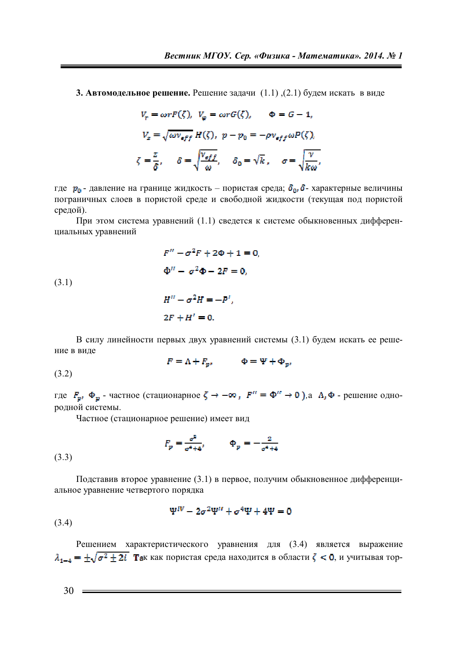**3. Автомодельное решение.** Решение задачи (1.1), (2.1) будем искать в виде

$$
V_r = \omega r F(\zeta), \quad V_\varphi = \omega r G(\zeta), \quad \Phi = G - 1,
$$

$$
V_z = \sqrt{\omega v_{eff}} H(\zeta), \quad p - p_0 = -\rho v_{eff} \omega P(\zeta),
$$

$$
\zeta = \frac{z}{\delta}, \quad \delta = \sqrt{\frac{v_{eff}}{\omega}}, \quad \delta_0 = \sqrt{k}, \quad \sigma = \sqrt{\frac{v}{k\omega}},
$$

где  $p_0$  - давление на границе жидкость – пористая среда;  $\delta_{0}$ ,  $\delta$  - характерные величины пограничных слоев в пористой среде и свободной жидкости (текущая под пористой средой).

При этом система уравнений (1.1) сведется к системе обыкновенных дифференциальных уравнений

$$
F'' - \sigma^2 F + 2\Phi + 1 = 0,
$$
  
\n
$$
\Phi'' - \sigma^2 \Phi - 2F = 0,
$$
  
\n
$$
H'' - \sigma^2 H = -P'
$$

(3.1)

 $\sigma^2 H = -P',$  $2F + H' = 0.$ 

В силу линейности первых двух уравнений системы (3.1) будем искать ее решение в виде

$$
F = \Lambda + F_{p}, \qquad \Phi = \Psi + \Phi_{p},
$$

(3.2)

где  $F_{\mathbf{p}}$ ,  $\Phi_{\mathbf{p}}$  - частное (стационарное  $\zeta \to -\infty$ ,  $F'' = \Phi'' \to 0$ ), а  $\Lambda$ ,  $\Phi$  - решение однородной системы.

Частное (стационарное решение) имеет вид

$$
F_p = \frac{\sigma^2}{\sigma^4 + 4}, \qquad \Phi_p = -\frac{2}{\sigma^4 + 4}
$$

(3.3)

Подставив второе уравнение (3.1) в первое, получим обыкновенное дифференциальное уравнение четвертого порядка

$$
\Psi^{IV}-2\sigma^2\Psi^{II}+\sigma^4\Psi+4\Psi=0
$$

(3.4)

Решением характеристического уравнения для (3.4) является выражение  $\lambda_{1-4} = \pm \sqrt{\sigma^2 \pm 2i}$  **Tax** как пористая среда находится в области  $\zeta < 0$ , и учитывая тор-

 $30 =$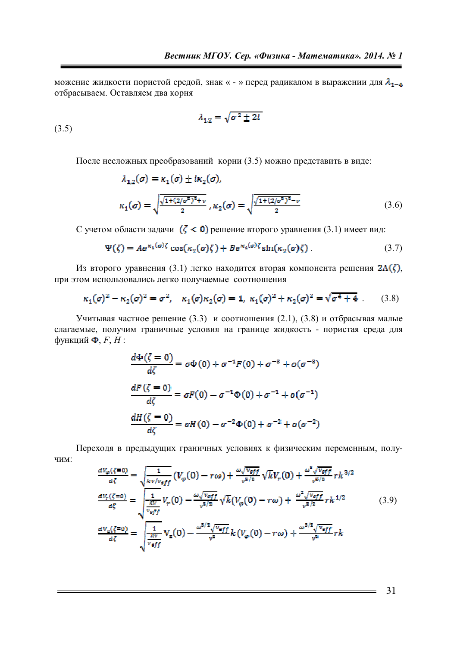можение жидкости пористой средой, знак « - » перед радикалом в выражении для  $\lambda_{1-\frac{a}{2}}$ отбрасываем. Оставляем два корня

$$
\lambda_{1,2} = \sqrt{\sigma^2 \pm 2i}
$$

(3.5)

После несложных преобразований корни (3.5) можно представить в виде:

$$
\lambda_{1,2}(\sigma) = \kappa_1(\sigma) \pm i\kappa_2(\sigma),
$$
\n
$$
\kappa_1(\sigma) = \sqrt{\frac{\sqrt{1 + (2/\sigma^2)^2} + v}{2}}, \kappa_2(\sigma) = \sqrt{\frac{\sqrt{1 + (2/\sigma^2)^2} - v}{2}} \tag{3.6}
$$

С учетом области задачи  $(ζ < 0)$  решение второго уравнения (3.1) имеет вид:

$$
\Psi(\zeta) = A e^{\kappa_2(\sigma)\zeta} \cos(\kappa_2(\sigma)\zeta) + B e^{\kappa_2(\sigma)\zeta} \sin(\kappa_2(\sigma)\zeta). \tag{3.7}
$$

Из второго уравнения (3.1) легко находится вторая компонента решения  $2\Lambda(\zeta)$ , при этом использовались легко получаемые соотношения

$$
\kappa_1(\sigma)^2 - \kappa_2(\sigma)^2 = \sigma^2, \quad \kappa_1(\sigma)\kappa_2(\sigma) = 1, \quad \kappa_1(\sigma)^2 + \kappa_2(\sigma)^2 = \sqrt{\sigma^4 + 4} \ . \tag{3.8}
$$

Учитывая частное решение (3.3) и соотношения (2.1), (3.8) и отбрасывая малые слагаемые, получим граничные условия на границе жидкость - пористая среда для  $\phi$ ункций  $\Phi$ , *F*, *H* :

$$
\frac{d\Phi(\zeta=0)}{d\zeta} = \sigma\Phi(0) + \sigma^{-1}F(0) + \sigma^{-3} + o(\sigma^{-3})
$$
  

$$
\frac{dF(\zeta=0)}{d\zeta} = \sigma F(0) - \sigma^{-1}\Phi(0) + \sigma^{-1} + o(\sigma^{-1})
$$
  

$$
\frac{dH(\zeta=0)}{d\zeta} = \sigma H(0) - \sigma^{-2}\Phi(0) + \sigma^{-2} + o(\sigma^{-2})
$$

Переходя в предыдущих граничных условиях к физическим переменным, полу-ЧИМ:

$$
\frac{dV_{\varphi}(\zeta=0)}{d\zeta} = \sqrt{\frac{1}{kv/v_{eff}}}(V_{\varphi}(0) - r\omega) + \frac{\omega\sqrt{v_{eff}}}{v^{B/2}}\sqrt{k}V_{r}(0) + \frac{\omega^{5}\sqrt{v_{eff}}}{v^{B/2}}rk^{3/2}
$$

$$
\frac{dV_{r}(\zeta=0)}{d\zeta} = \sqrt{\frac{1}{\frac{kV}{v_{eff}}}V_{r}(0) - \frac{\omega\sqrt{v_{eff}}}{v^{B/2}}\sqrt{k}(V_{\varphi}(0) - r\omega) + \frac{\omega^{2}\sqrt{v_{eff}}}{v^{B/2}}rk^{1/2}}
$$
(3.9)
$$
\frac{dV_{2}(\zeta=0)}{d\zeta} = \sqrt{\frac{1}{\frac{kV}{v_{eff}}}V_{z}(0) - \frac{\omega^{5/2}\sqrt{v_{eff}}}{v^{2}}k(V_{\varphi}(0) - r\omega) + \frac{\omega^{5/2}\sqrt{v_{eff}}}{v^{2}}rk}
$$

31